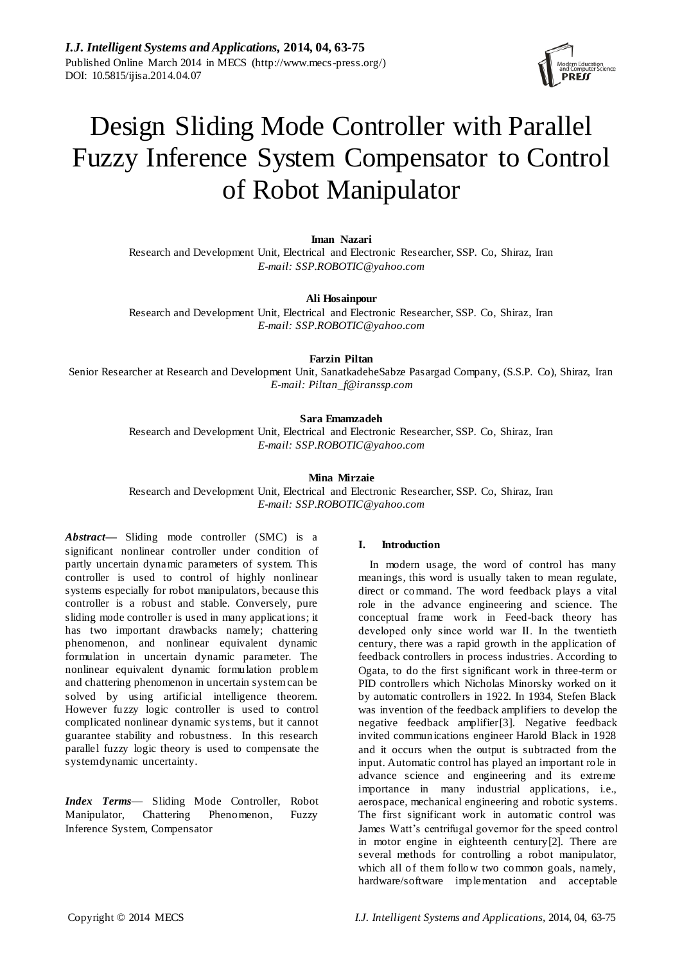

# Design Sliding Mode Controller with Parallel Fuzzy Inference System Compensator to Control of Robot Manipulator

**Iman Nazari**

Research and Development Unit, Electrical and Electronic Researcher, SSP. Co, Shiraz, Iran *E-mail[: SSP.ROBOTIC@yahoo.com](mailto:SSP.ROBOTIC@yahoo.com)*

**Ali Hosainpour**

Research and Development Unit, Electrical and Electronic Researcher, SSP. Co, Shiraz, Iran *E-mail[: SSP.ROBOTIC@yahoo.com](mailto:SSP.ROBOTIC@yahoo.com)*

**Farzin Piltan**

Senior Researcher at Research and Development Unit, SanatkadeheSabze Pasargad Company, (S.S.P. Co), Shiraz, Iran *E-mail: [Piltan\\_f@iranssp.com](mailto:Piltan_f@iranssp.com)*

# **Sara Emamzadeh**

Research and Development Unit, Electrical and Electronic Researcher, SSP. Co, Shiraz, Iran *E-mail[: SSP.ROBOTIC@yahoo.com](mailto:SSP.ROBOTIC@yahoo.com)*

# **Mina Mirzaie**

Research and Development Unit, Electrical and Electronic Researcher, SSP. Co, Shiraz, Iran *E-mail[: SSP.ROBOTIC@yahoo.com](mailto:SSP.ROBOTIC@yahoo.com)*

*Abstract***—** Sliding mode controller (SMC) is a significant nonlinear controller under condition of partly uncertain dynamic parameters of system. This controller is used to control of highly nonlinear systems especially for robot manipulators, because this controller is a robust and stable. Conversely, pure sliding mode controller is used in many applications; it has two important drawbacks namely; chattering phenomenon, and nonlinear equivalent dynamic formulation in uncertain dynamic parameter. The nonlinear equivalent dynamic formulation problem and chattering phenomenon in uncertain system can be solved by using artificial intelligence theorem. However fuzzy logic controller is used to control complicated nonlinear dynamic systems, but it cannot guarantee stability and robustness. In this research parallel fuzzy logic theory is used to compensate the system dynamic uncertainty.

*Index Terms*— Sliding Mode Controller, Robot Manipulator, Chattering Phenomenon, Fuzzy Inference System, Compensator

## **I. Introduction**

In modern usage, the word of control has many meanings, this word is usually taken to mean regulate, direct or command. The word feedback plays a vital role in the advance engineering and science. The conceptual frame work in Feed-back theory has developed only since world war ІІ. In the twentieth century, there was a rapid growth in the application of feedback controllers in process industries. According to Ogata, to do the first significant work in three-term or PID controllers which Nicholas Minorsky worked on it by automatic controllers in 1922. In 1934, Stefen Black was invention of the feedback amplifiers to develop the negative feedback amplifier[3]. Negative feedback invited communications engineer Harold Black in 1928 and it occurs when the output is subtracted from the input. Automatic control has played an important role in advance science and engineering and its extreme importance in many industrial applications, i.e., aerospace, mechanical engineering and robotic systems. The first significant work in automatic control was James Watt's centrifugal governor for the speed control in motor engine in eighteenth century[2]. There are several methods for controlling a robot manipulator, which all of them follow two common goals, namely, hardware/software implementation and acceptable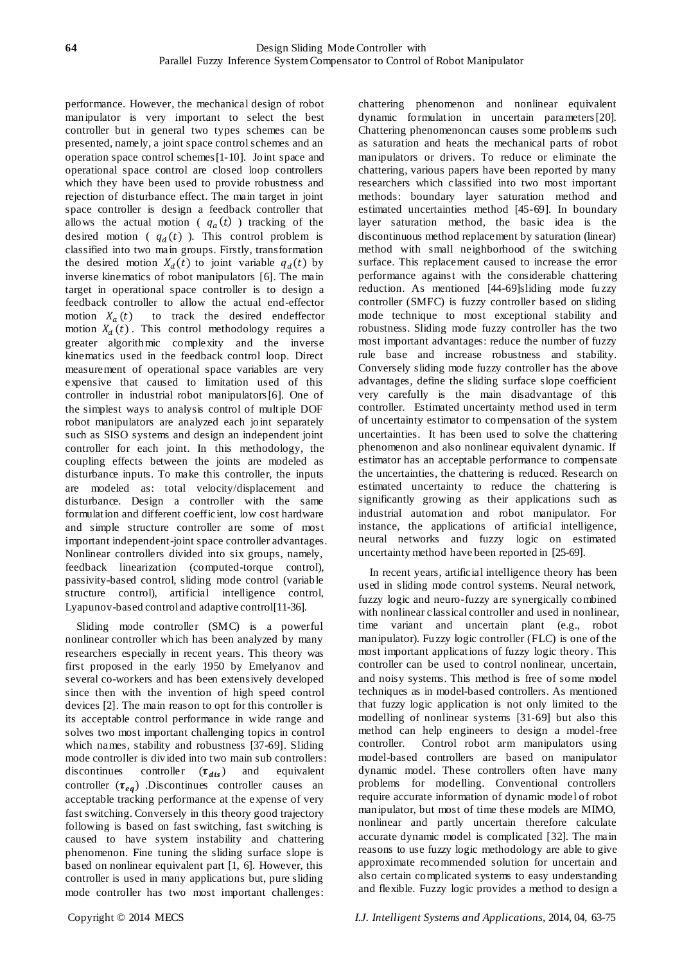performance. However, the mechanical design of robot manipulator is very important to select the best controller but in general two types schemes can be presented, namely, a joint space control schemes and an operation space control schemes[1-10]. Joint space and operational space control are closed loop controllers which they have been used to provide robustness and rejection of disturbance effect. The main target in joint space controller is design a feedback controller that allows the actual motion ( $q_a(t)$ ) tracking of the desired motion ( $q_d(t)$ ). This control problem is classified into two main groups. Firstly, transformation the desired motion  $X_d(t)$  to joint variable  $q_d(t)$  by inverse kinematics of robot manipulators [6]. The main target in operational space controller is to design a feedback controller to allow the actual end-effector motion  $X_a(t)$ to track the desired endeffector motion  $X_d(t)$ . This control methodology requires a greater algorithmic complexity and the inverse kinematics used in the feedback control loop. Direct measurement of operational space variables are very expensive that caused to limitation used of this controller in industrial robot manipulators[6]. One of the simplest ways to analysis control of multiple DOF robot manipulators are analyzed each joint separately such as SISO systems and design an independent joint controller for each joint. In this methodology, the coupling effects between the joints are modeled as disturbance inputs. To make this controller, the inputs are modeled as: total velocity/displacement and disturbance. Design a controller with the same formulation and different coefficient, low cost hardware and simple structure controller are some of most important independent-joint space controller advantages. Nonlinear controllers divided into six groups, namely, feedback linearization (computed-torque control), passivity-based control, sliding mode control (variable structure control), artificial intelligence control, Lyapunov-based control and adaptive control[11-36].

Sliding mode controller (SMC) is a powerful nonlinear controller which has been analyzed by many researchers especially in recent years. This theory was first proposed in the early 1950 by Emelyanov and several co-workers and has been extensively developed since then with the invention of high speed control devices [2]. The main reason to opt for this controller is its acceptable control performance in wide range and solves two most important challenging topics in control which names, stability and robustness [37-69]. Sliding mode controller is divided into two main sub controllers: discontinues controller  $(\tau_{dis})$  and equivalent controller  $(\tau_{eq})$  .Discontinues controller causes an acceptable tracking performance at the expense of very fast switching. Conversely in this theory good trajectory following is based on fast switching, fast switching is caused to have system instability and chattering phenomenon. Fine tuning the sliding surface slope is based on nonlinear equivalent part [1, 6]. However, this controller is used in many applications but, pure sliding mode controller has two most important challenges:

chattering phenomenon and nonlinear equivalent dynamic formulation in uncertain parameters[20]. Chattering phenomenoncan causes some problems such as saturation and heats the mechanical parts of robot manipulators or drivers. To reduce or eliminate the chattering, various papers have been reported by many researchers which classified into two most important methods: boundary layer saturation method and estimated uncertainties method [45-69]. In boundary layer saturation method, the basic idea is the discontinuous method replacement by saturation (linear) method with small neighborhood of the switching surface. This replacement caused to increase the error performance against with the considerable chattering reduction. As mentioned [44-69]sliding mode fuzzy controller (SMFC) is fuzzy controller based on sliding mode technique to most exceptional stability and robustness. Sliding mode fuzzy controller has the two most important advantages: reduce the number of fuzzy rule base and increase robustness and stability. Conversely sliding mode fuzzy controller has the above advantages, define the sliding surface slope coefficient very carefully is the main disadvantage of this controller. Estimated uncertainty method used in term of uncertainty estimator to compensation of the system uncertainties. It has been used to solve the chattering phenomenon and also nonlinear equivalent dynamic. If estimator has an acceptable performance to compensate the uncertainties, the chattering is reduced. Research on estimated uncertainty to reduce the chattering is significantly growing as their applications such as industrial automation and robot manipulator. For instance, the applications of artificial intelligence, neural networks and fuzzy logic on estimated uncertainty method have been reported in [25-69].

In recent years, artificial intelligence theory has been used in sliding mode control systems. Neural network, fuzzy logic and neuro-fuzzy are synergically combined with nonlinear classical controller and used in nonlinear, time variant and uncertain plant (e.g., robot manipulator). Fuzzy logic controller (FLC) is one of the most important applications of fuzzy logic theory. This controller can be used to control nonlinear, uncertain, and noisy systems. This method is free of some model techniques as in model-based controllers. As mentioned that fuzzy logic application is not only limited to the modelling of nonlinear systems [31-69] but also this method can help engineers to design a model-free controller. Control robot arm manipulators using model-based controllers are based on manipulator dynamic model. These controllers often have many problems for modelling. Conventional controllers require accurate information of dynamic model of robot manipulator, but most of time these models are MIMO, nonlinear and partly uncertain therefore calculate accurate dynamic model is complicated [32]. The main reasons to use fuzzy logic methodology are able to give approximate recommended solution for uncertain and also certain complicated systems to easy understanding and flexible. Fuzzy logic provides a method to design a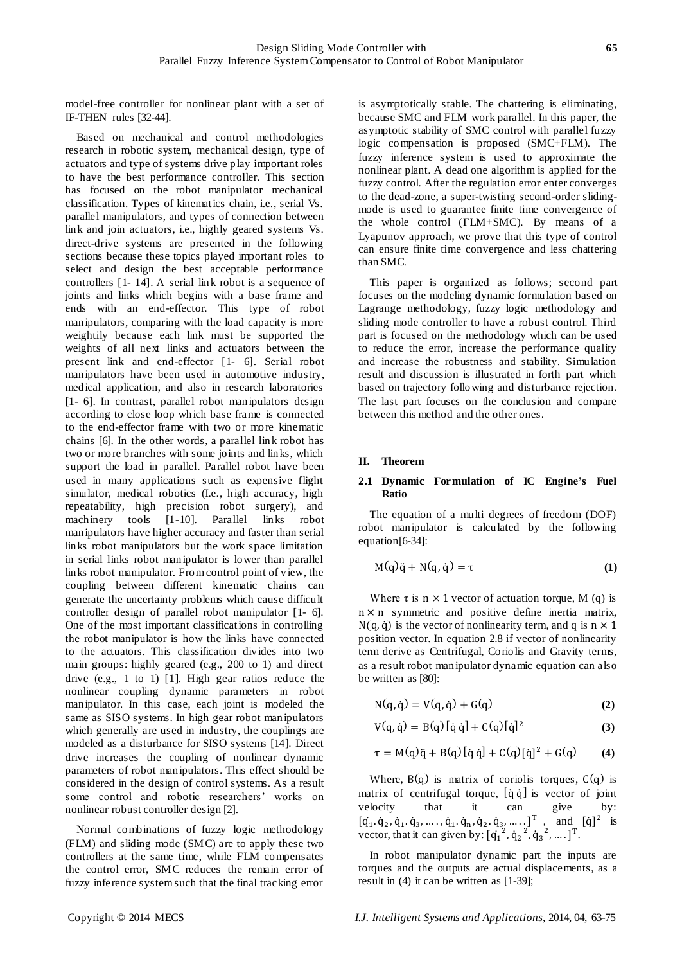model-free controller for nonlinear plant with a set of IF-THEN rules [32-44].

Based on mechanical and control methodologies research in robotic system, mechanical design, type of actuators and type of systems drive play important roles to have the best performance controller. This section has focused on the robot manipulator mechanical classification. Types of kinematics chain, i.e., serial Vs. parallel manipulators, and types of connection between link and join actuators, i.e., highly geared systems Vs. direct-drive systems are presented in the following sections because these topics played important roles to select and design the best acceptable performance controllers [1- 14]. A serial link robot is a sequence of joints and links which begins with a base frame and ends with an end-effector. This type of robot manipulators, comparing with the load capacity is more weightily because each link must be supported the weights of all next links and actuators between the present link and end-effector [1- 6]. Serial robot manipulators have been used in automotive industry, medical application, and also in research laboratories [1- 6]. In contrast, parallel robot manipulators design according to close loop which base frame is connected to the end-effector frame with two or more kinematic chains [6]. In the other words, a parallel link robot has two or more branches with some joints and links, which support the load in parallel. Parallel robot have been used in many applications such as expensive flight simulator, medical robotics (I.e., high accuracy, high repeatability, high precision robot surgery), and machinery tools [1-10]. Parallel links robot manipulators have higher accuracy and faster than serial links robot manipulators but the work space limitation in serial links robot manipulator is lower than parallel links robot manipulator. From control point of view, the coupling between different kinematic chains can generate the uncertainty problems which cause difficult controller design of parallel robot manipulator [1- 6]. One of the most important classifications in controlling the robot manipulator is how the links have connected to the actuators. This classification divides into two main groups: highly geared (e.g., 200 to 1) and direct drive (e.g., 1 to 1) [1]. High gear ratios reduce the nonlinear coupling dynamic parameters in robot manipulator. In this case, each joint is modeled the same as SISO systems. In high gear robot manipulators which generally are used in industry, the couplings are modeled as a disturbance for SISO systems [14]. Direct drive increases the coupling of nonlinear dynamic parameters of robot manipulators. This effect should be considered in the design of control systems. As a result some control and robotic researchers' works on nonlinear robust controller design [2].

Normal combinations of fuzzy logic methodology (FLM) and sliding mode (SMC) are to apply these two controllers at the same time, while FLM compensates the control error, SMC reduces the remain error of fuzzy inference system such that the final tracking error

is asymptotically stable. The chattering is eliminating, because SMC and FLM work parallel. In this paper, the asymptotic stability of SMC control with parallel fuzzy logic compensation is proposed (SMC+FLM). The fuzzy inference system is used to approximate the nonlinear plant. A dead one algorithm is applied for the fuzzy control. After the regulation error enter converges to the dead-zone, a super-twisting second-order slidingmode is used to guarantee finite time convergence of the whole control (FLM+SMC). By means of a Lyapunov approach, we prove that this type of control can ensure finite time convergence and less chattering than SMC.

This paper is organized as follows; second part focuses on the modeling dynamic formulation based on Lagrange methodology, fuzzy logic methodology and sliding mode controller to have a robust control. Third part is focused on the methodology which can be used to reduce the error, increase the performance quality and increase the robustness and stability. Simulation result and discussion is illustrated in forth part which based on trajectory following and disturbance rejection. The last part focuses on the conclusion and compare between this method and the other ones.

## **II. Theorem**

## **2.1 Dynamic Formulation of IC Engine's Fuel Ratio**

The equation of a multi degrees of freedom (DOF) robot manipulator is calculated by the following equation[6-34]:

$$
M(q)\ddot{q} + N(q, \dot{q}) = \tau \tag{1}
$$

Where  $\tau$  is  $n \times 1$  vector of actuation torque, M (q) is  $n \times n$  symmetric and positive define inertia matrix,  $N(q, \dot{q})$  is the vector of nonlinearity term, and q is  $n \times 1$ position vector. In equation 2.8 if vector of nonlinearity term derive as Centrifugal, Coriolis and Gravity terms, as a result robot manipulator dynamic equation can also be written as [80]:

$$
N(q, \dot{q}) = V(q, \dot{q}) + G(q) \tag{2}
$$

$$
V(q, \dot{q}) = B(q) [\dot{q} \dot{q}] + C(q) [\dot{q}]^{2}
$$
 (3)

$$
\tau = M(q)\ddot{q} + B(q)[\dot{q}\dot{q}] + C(q)[\dot{q}]^{2} + G(q) \tag{4}
$$

Where,  $B(q)$  is matrix of coriolis torques,  $C(q)$  is matrix of centrifugal torque,  $\left[\dot{q} \dot{q}\right]$  is vector of joint velocity that it can give by:  $[q_1, \dot{q}_2, \dot{q}_1, \dot{q}_3, \dots, \dot{q}_1, \dot{q}_n, \dot{q}_2, \dot{q}_3, \dots]^{T}$ , and  $[\dot{q}]^{2}$  is vector, that it can given by:  $[q_1^2, q_2^2, q_3^2, ....]$ <sup>T</sup>. ֦

In robot manipulator dynamic part the inputs are torques and the outputs are actual displacements, as a result in (4) it can be written as [1-39];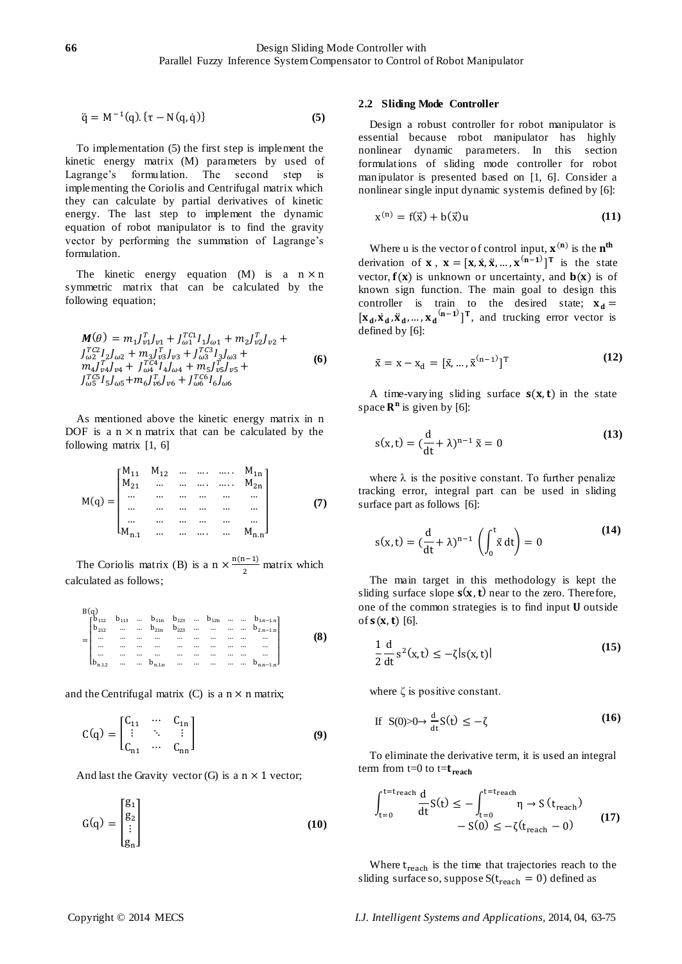$$
\ddot{q} = M^{-1}(q) \cdot \{ \tau - N(q, \dot{q}) \}
$$
 (5)

To implementation (5) the first step is implement the kinetic energy matrix (M) parameters by used of Lagrange's formulation. The second step is implementing the Coriolis and Centrifugal matrix which they can calculate by partial derivatives of kinetic energy. The last step to implement the dynamic equation of robot manipulator is to find the gravity vector by performing the summation of Lagrange's formulation.

The kinetic energy equation  $(M)$  is a  $n \times n$ symmetric matrix that can be calculated by the following equation;

$$
M(\theta) = m_1 J_{w1}^T J_{v1} + J_{\omega 1}^{T C 1} I_{J \omega 1} + m_2 J_{v2}^T J_{v2} +
$$
  
\n
$$
J_{\omega 2}^{T C 2} I_{2J \omega 2} + m_3 J_{s3}^T J_{v3} + J_{\omega 3}^{T C 3} I_{3J \omega 3} +
$$
  
\n
$$
m_4 J_{v4}^T J_{v4} + J_{\omega 4}^{T C 4} I_{4J \omega 4} + m_5 J_{v5}^T J_{v5} +
$$
  
\n
$$
J_{\omega 5}^{T C 5} I_{5J \omega 5} + m_6 J_{v6}^T J_{v6} + J_{\omega 6}^{T C 6} I_{6J \omega 6}
$$
\n(6)

As mentioned above the kinetic energy matrix in DOF is a  $n \times n$  matrix that can be calculated by the following matrix [1, 6]

$$
M(q) = \begin{bmatrix} M_{11} & M_{12} & \cdots & \cdots & \cdots & M_{1n} \\ M_{21} & \cdots & \cdots & \cdots & \cdots & M_{2n} \\ \cdots & \cdots & \cdots & \cdots & \cdots & \cdots \\ \cdots & \cdots & \cdots & \cdots & \cdots & \cdots \\ \cdots & \cdots & \cdots & \cdots & \cdots & \cdots \\ M_{n.1} & \cdots & \cdots & \cdots & \cdots & M_{n.n} \end{bmatrix}
$$
(7)

The Coriolis matrix (B) is a  $n \times \frac{n(n-1)}{n}$  $\frac{1}{2}$  matrix which calculated as follows;

$$
=\begin{bmatrix} b_{112} & b_{113} & \dots & b_{11n} & b_{123} & \dots & b_{12n} & \dots & \dots & b_{1n-1,n} \\ b_{212} & \dots & \dots & b_{21n} & b_{223} & \dots & \dots & \dots & \dots & b_{2n-1,n} \\ \dots & \dots & \dots & \dots & \dots & \dots & \dots & \dots & \dots \\ \dots & \dots & \dots & \dots & \dots & \dots & \dots & \dots & \dots \\ \dots & \dots & \dots & \dots & \dots & \dots & \dots & \dots & \dots \\ \dots & \dots & \dots & \dots & \dots & \dots & \dots & \dots & \dots \\ \dots & \dots & \dots & \dots & \dots & \dots & \dots & \dots & \dots \\ b_{n12} & \dots & \dots & \dots & \dots & \dots & \dots & \dots & b_{n,n-1,n} \end{bmatrix}
$$
 (8)

and the Centrifugal matrix  $(C)$  is a  $n \times n$  matrix;

$$
C(q) = \begin{bmatrix} C_{11} & \cdots & C_{1n} \\ \vdots & \ddots & \vdots \\ C_{n1} & \cdots & C_{nn} \end{bmatrix}
$$
 (9)

And last the Gravity vector (G) is a  $n \times 1$  vector;

$$
G(q) = \begin{bmatrix} g_1 \\ g_2 \\ \vdots \\ g_n \end{bmatrix}
$$
 (10)

#### **2.2 Sliding Mode Controller**

Design a robust controller for robot manipulator is essential because robot manipulator has highly nonlinear dynamic parameters. In this section formulations of sliding mode controller for robot manipulator is presented based on [1, 6]. Consider a nonlinear single input dynamic system is defined by [6]:

$$
\mathbf{x}^{(\mathrm{n})} = \mathbf{f}(\vec{\mathbf{x}}) + \mathbf{b}(\vec{\mathbf{x}})\mathbf{u} \tag{11}
$$

Where u is the vector of control input,  $\mathbf{x}^{(n)}$  is the  $\mathbf{n}^t$ derivation of **x**,  $\mathbf{x} = [\mathbf{x}, \dot{\mathbf{x}}, \ddot{\mathbf{x}}, \dots, \mathbf{x}^{(n-1)}]^T$  is the state vector,  $f(x)$  is unknown or uncertainty, and  $b(x)$  is of known sign function. The main goal to design this controller is train to the desired state;  $x_d =$  $[\mathbf{x_d}, \dot{\mathbf{x}_d}, \dot{\mathbf{x}_d}, \dots, \mathbf{x_d}^{(n-1)}]^T$ , and trucking error vector is defined by [6]:

$$
\tilde{\mathbf{x}} = \mathbf{x} - \mathbf{x}_d = [\tilde{\mathbf{x}}, \dots, \tilde{\mathbf{x}}^{(n-1)}]^T
$$
\n(12)

A time-varying sliding surface  $s(x, t)$  in the state space  $\mathbb{R}^n$  is given by [6]:

$$
s(x, t) = (\frac{d}{dt} + \lambda)^{n-1} \tilde{x} = 0
$$
 (13)

where  $\lambda$  is the positive constant. To further penalize tracking error, integral part can be used in sliding surface part as follows [6]:

$$
s(x,t) = \left(\frac{d}{dt} + \lambda\right)^{n-1} \left(\int_0^t \tilde{x} dt\right) = 0
$$
 (14)

The main target in this methodology is kept the sliding surface slope  $s(x, t)$  near to the zero. Therefore, one of the common strategies is to find input U outside of  $s(x, t)$  [6].

$$
\frac{1}{2}\frac{d}{dt}s^2(x,t) \le -\zeta|s(x,t)|\tag{15}
$$

where  $\zeta$  is positive constant.

If 
$$
S(0) > 0 \rightarrow \frac{d}{dt} S(t) \le -\zeta
$$
 (16)

To eliminate the derivative term, it is used an integral term from t=0 to t= $t_{reach}$ 

$$
\int_{t=0}^{t=t_{\text{reach}}} \frac{d}{dt} S(t) \le -\int_{t=0}^{t=t_{\text{reach}}} \eta \to S(t_{\text{reach}}) - S(0) \le -\zeta(t_{\text{reach}} - 0)
$$
 (17)

Where  $t_{\text{reach}}$  is the time that trajectories reach to the sliding surface so, suppose  $S(t_{reach} = 0)$  defined as

 $D(a)$ 

Copyright © 2014 MECS *I.J. Intelligent Systems and Applications,* 2014, 04, 63-75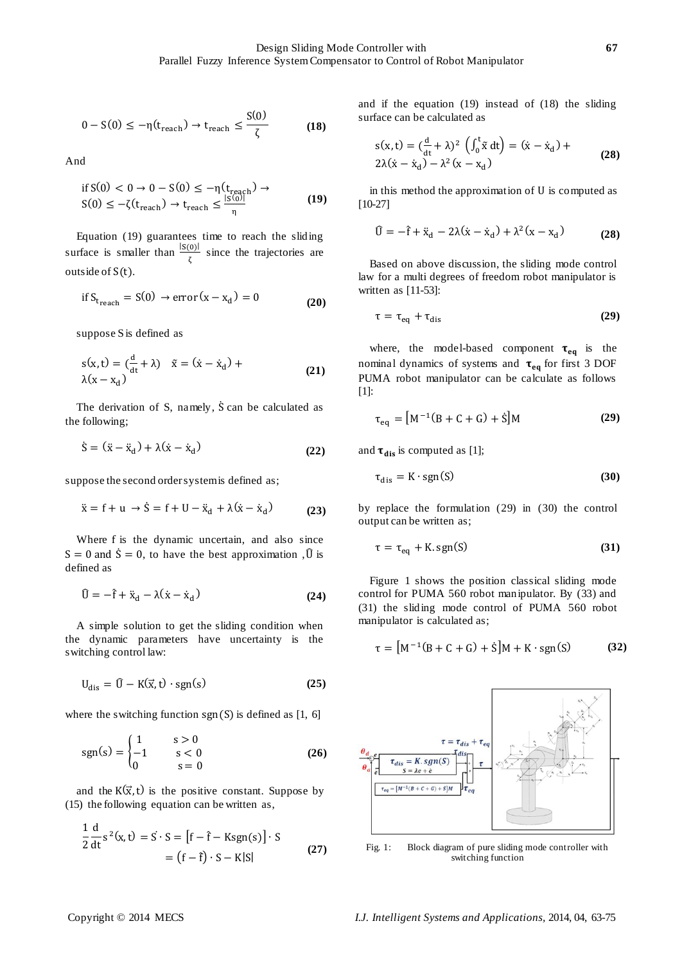$$
0 - S(0) \le -\eta(t_{reach}) \to t_{reach} \le \frac{S(0)}{\zeta}
$$
 (18)

And

if S(0) 
$$
< 0 \rightarrow 0 - S(0) \leq -\eta(t_{\text{reach}}) \rightarrow
$$
\n $S(0) \leq -\zeta(t_{\text{reach}}) \rightarrow t_{\text{reach}} \leq \frac{|S(0)|}{\eta}$ \n $(19)$ 

Equation (19) guarantees time to reach the sliding surface is smaller than  $\frac{|S(0)|}{7}$  $rac{1}{\zeta}$  since the trajectories are outside of  $S(t)$ .

if 
$$
S_{t_{\text{reach}}} = S(0) \rightarrow \text{error}(x - x_d) = 0
$$
 (20)

suppose S is defined as

$$
s(x, t) = \left(\frac{d}{dt} + \lambda\right) \quad \tilde{x} = (\dot{x} - \dot{x}_d) + \lambda(x - x_d)
$$
\n(21)

The derivation of S, namely,  $\acute{S}$  can be calculated as the following;

$$
\dot{S} = (\ddot{x} - \ddot{x}_d) + \lambda(\dot{x} - \dot{x}_d) \tag{22}
$$

suppose the second order system is defined as;

$$
\ddot{x} = f + u \to \dot{S} = f + U - \ddot{x}_{d} + \lambda(\dot{x} - \dot{x}_{d})
$$
 (23)

Where f is the dynamic uncertain, and also since  $S = 0$  and  $\dot{S} = 0$ , to have the best approximation ,  $\dot{U}$  is defined as

$$
\hat{\mathbf{U}} = -\hat{\mathbf{f}} + \ddot{\mathbf{x}}_{\mathbf{d}} - \lambda(\dot{\mathbf{x}} - \dot{\mathbf{x}}_{\mathbf{d}}) \tag{24}
$$

A simple solution to get the sliding condition when the dynamic parameters have uncertainty is the switching control law:

$$
U_{dis} = \hat{U} - K(\vec{x}, t) \cdot \text{sgn}(s)
$$
 (25)

where the switching function  $sgn(S)$  is defined as [1, 6]

$$
sgn(s) = \begin{cases} 1 & s > 0 \\ -1 & s < 0 \\ 0 & s = 0 \end{cases}
$$
 (26)

and the  $K(\vec{x}, t)$  is the positive constant. Suppose by (15) the following equation can be written as,

$$
\frac{1}{2}\frac{d}{dt}s^{2}(x,t) = S \cdot S = [f - \hat{f} - Ksgn(s)] \cdot S
$$

$$
= (f - \hat{f}) \cdot S - K|S|
$$
(27)

and if the equation (19) instead of (18) the sliding surface can be calculated as

$$
s(x, t) = (\frac{d}{dt} + \lambda)^2 \left( \int_0^t \tilde{x} dt \right) = (\dot{x} - \dot{x}_d) + 2\lambda(\dot{x} - \dot{x}_d) - \lambda^2(x - x_d)
$$
 (28)

in this method the approximation of U is computed as [10-27]

$$
\hat{U} = -\hat{f} + \ddot{x}_{d} - 2\lambda(\dot{x} - \dot{x}_{d}) + \lambda^{2}(x - x_{d})
$$
 (28)

Based on above discussion, the sliding mode control law for a multi degrees of freedom robot manipulator is written as [11-53]:

$$
\tau = \tau_{eq} + \tau_{dis} \tag{29}
$$

where, the model-based component  $\tau_{eq}$  is the nominal dynamics of systems and  $\tau_{eq}$  for first 3 DOF PUMA robot manipulator can be calculate as follows [1]:

$$
\tau_{eq} = [M^{-1}(B + C + G) + \dot{S}]M
$$
 (29)

and  $\tau_{dis}$  is computed as [1];

$$
\tau_{\text{dis}} = \text{K} \cdot \text{sgn}(\text{S}) \tag{30}
$$

by replace the formulation (29) in (30) the control output can be written as;

$$
\tau = \tau_{eq} + K \cdot \text{sgn}(S) \tag{31}
$$

Figure 1 shows the position classical sliding mode control for PUMA 560 robot manipulator. By (33) and (31) the sliding mode control of PUMA 560 robot manipulator is calculated as;

$$
\tau = [M^{-1}(B + C + G) + S]M + K \cdot \text{sgn}(S)
$$
 (32)



Fig. 1: Block diagram of pure sliding mode controller with switching function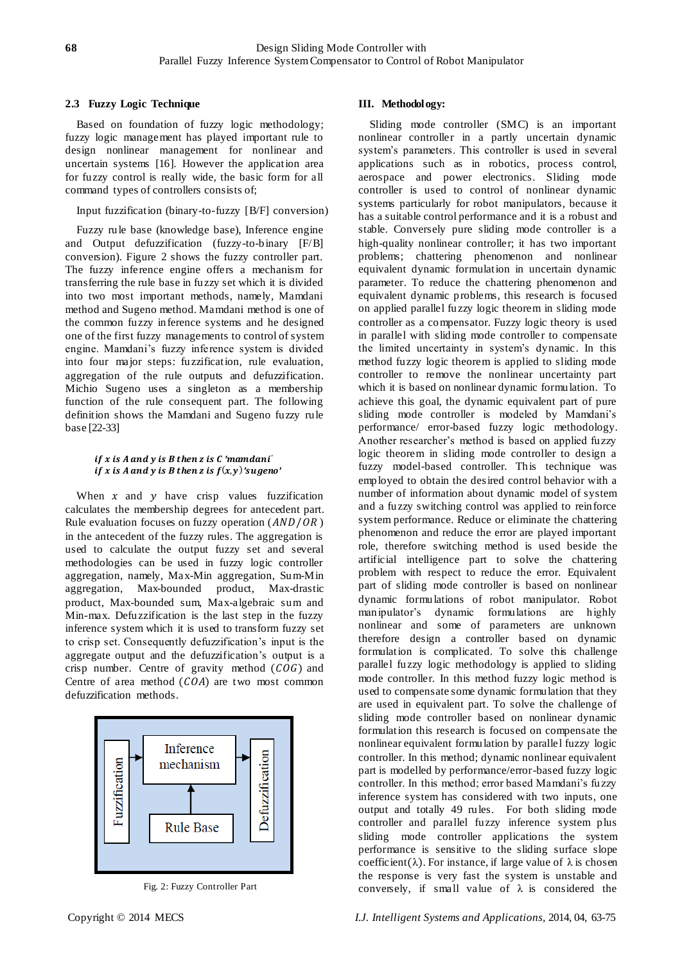# **2.3 Fuzzy Logic Technique**

Based on foundation of fuzzy logic methodology; fuzzy logic management has played important rule to design nonlinear management for nonlinear and uncertain systems [16]. However the application area for fuzzy control is really wide, the basic form for all command types of controllers consists of;

# Input fuzzification (binary-to-fuzzy [B/F] conversion)

Fuzzy rule base (knowledge base), Inference engine and Output defuzzification (fuzzy-to-binary [F/B] conversion). Figure 2 shows the fuzzy controller part. The fuzzy inference engine offers a mechanism for transferring the rule base in fuzzy set which it is divided into two most important methods, namely, Mamdani method and Sugeno method. Mamdani method is one of the common fuzzy inference systems and he designed one of the first fuzzy managements to control of system engine. Mamdani's fuzzy inference system is divided into four major steps: fuzzification, rule evaluation, aggregation of the rule outputs and defuzzification. Michio Sugeno uses a singleton as a membership function of the rule consequent part. The following definition shows the Mamdani and Sugeno fuzzy rule base [22-33]

#### if x is A and y is B then z is C 'mamdani<sup>'</sup> *if* x is A and y is B then z is  $f(x, y)$ 'sugeno'

When  $x$  and  $y$  have crisp values fuzzification calculates the membership degrees for antecedent part. Rule evaluation focuses on fuzzy operation  $(AND/OR)$ in the antecedent of the fuzzy rules. The aggregation is used to calculate the output fuzzy set and several methodologies can be used in fuzzy logic controller aggregation, namely, Max-Min aggregation, Sum-Min aggregation, Max-bounded product, Max-drastic product, Max-bounded sum, Max-algebraic sum and Min-max. Defuzzification is the last step in the fuzzy inference system which it is used to transform fuzzy set to crisp set. Consequently defuzzification's input is the aggregate output and the defuzzification's output is a crisp number. Centre of gravity method  $(COG)$  and Centre of area method  $(COA)$  are two most common defuzzification methods.



Fig. 2: Fuzzy Controller Part

# **III. Methodology:**

Sliding mode controller (SMC) is an important nonlinear controller in a partly uncertain dynamic system's parameters. This controller is used in several applications such as in robotics, process control, aerospace and power electronics. Sliding mode controller is used to control of nonlinear dynamic systems particularly for robot manipulators, because it has a suitable control performance and it is a robust and stable. Conversely pure sliding mode controller is a high-quality nonlinear controller; it has two important problems; chattering phenomenon and nonlinear equivalent dynamic formulation in uncertain dynamic parameter. To reduce the chattering phenomenon and equivalent dynamic problems, this research is focused on applied parallel fuzzy logic theorem in sliding mode controller as a compensator. Fuzzy logic theory is used in parallel with sliding mode controller to compensate the limited uncertainty in system's dynamic. In this method fuzzy logic theorem is applied to sliding mode controller to remove the nonlinear uncertainty part which it is based on nonlinear dynamic formulation. To achieve this goal, the dynamic equivalent part of pure sliding mode controller is modeled by Mamdani's performance/ error-based fuzzy logic methodology. Another researcher's method is based on applied fuzzy logic theorem in sliding mode controller to design a fuzzy model-based controller. This technique was employed to obtain the desired control behavior with a number of information about dynamic model of system and a fuzzy switching control was applied to reinforce system performance. Reduce or eliminate the chattering phenomenon and reduce the error are played important role, therefore switching method is used beside the artificial intelligence part to solve the chattering problem with respect to reduce the error. Equivalent part of sliding mode controller is based on nonlinear dynamic formulations of robot manipulator. Robot manipulator's dynamic formulations are highly nonlinear and some of parameters are unknown therefore design a controller based on dynamic formulation is complicated. To solve this challenge parallel fuzzy logic methodology is applied to sliding mode controller. In this method fuzzy logic method is used to compensate some dynamic formulation that they are used in equivalent part. To solve the challenge of sliding mode controller based on nonlinear dynamic formulation this research is focused on compensate the nonlinear equivalent formulation by parallel fuzzy logic controller. In this method; dynamic nonlinear equivalent part is modelled by performance/error-based fuzzy logic controller. In this method; error based Mamdani's fuzzy inference system has considered with two inputs, one output and totally 49 rules. For both sliding mode controller and parallel fuzzy inference system plus sliding mode controller applications the system performance is sensitive to the sliding surface slope coefficient( $\lambda$ ). For instance, if large value of  $\lambda$  is chosen the response is very fast the system is unstable and conversely, if small value of  $\lambda$  is considered the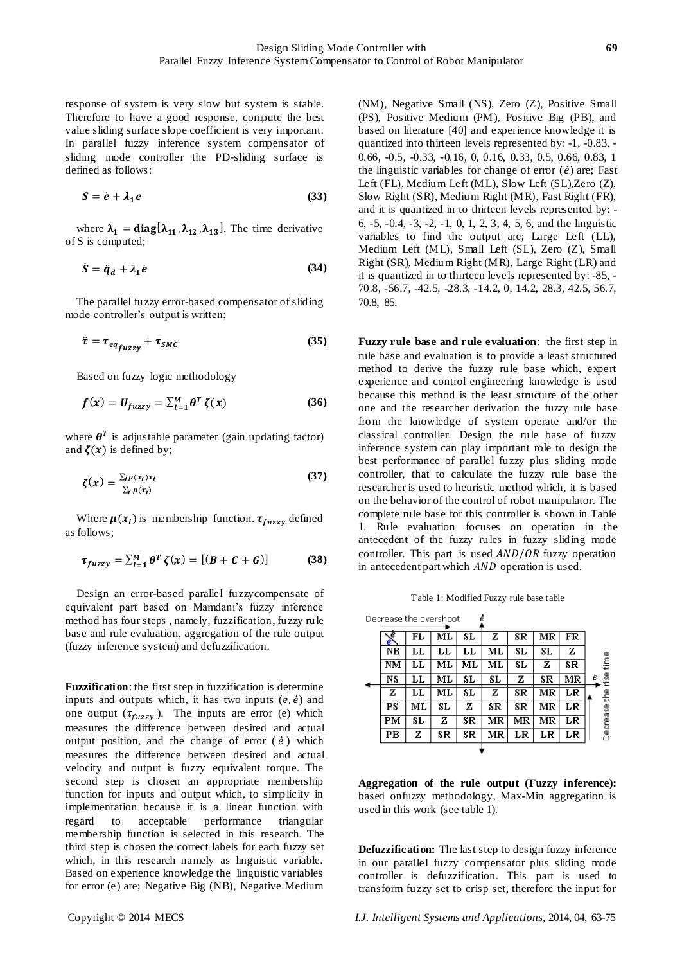response of system is very slow but system is stable. Therefore to have a good response, compute the best value sliding surface slope coefficient is very important. In parallel fuzzy inference system compensator of sliding mode controller the PD-sliding surface is defined as follows:

$$
S = e + \lambda_1 e \tag{33}
$$

where  $\lambda_1 = \text{diag}[\lambda_{11}, \lambda_{12}, \lambda_{13}]$ . The time derivative of S is computed;

$$
\dot{S} = \ddot{q}_d + \lambda_1 \dot{e} \tag{34}
$$

The parallel fuzzy error-based compensator of sliding mode controller's output is written;

$$
\hat{\tau} = \tau_{eq_{fuzzy}} + \tau_{SMC} \tag{35}
$$

Based on fuzzy logic methodology

$$
f(x) = U_{fuzzy} = \sum_{l=1}^{M} \theta^T \zeta(x)
$$
 (36)

where  $\theta^T$  is adjustable parameter (gain updating factor) and  $\zeta(x)$  is defined by;

$$
\zeta(x) = \frac{\sum_{i} \mu(x_i) x_i}{\sum_{i} \mu(x_i)} \tag{37}
$$

Where  $\mu(x_i)$  is membership function.  $\tau_{fuzzy}$  defined as follows;

$$
\tau_{fuzzy} = \sum_{l=1}^{M} \theta^T \zeta(x) = [(B + C + G)] \tag{38}
$$

Design an error-based parallel fuzzycompensate of equivalent part based on Mamdani's fuzzy inference method has four steps , namely, fuzzification, fuzzy rule base and rule evaluation, aggregation of the rule output (fuzzy inference system) and defuzzification.

**Fuzzification**: the first step in fuzzification is determine inputs and outputs which, it has two inputs  $(e, \dot{e})$  and one output  $(\tau_{fuzzy})$ . The inputs are error (e) which measures the difference between desired and actual output position, and the change of error  $(\dot{e})$  which measures the difference between desired and actual velocity and output is fuzzy equivalent torque. The second step is chosen an appropriate membership function for inputs and output which, to simplicity in implementation because it is a linear function with regard to acceptable performance triangular membership function is selected in this research. The third step is chosen the correct labels for each fuzzy set which, in this research namely as linguistic variable. Based on experience knowledge the linguistic variables for error (e) are; Negative Big (NB), Negative Medium

(NM), Negative Small (NS), Zero (Z), Positive Small (PS), Positive Medium (PM), Positive Big (PB), and based on literature [40] and experience knowledge it is quantized into thirteen levels represented by: -1, -0.83, - 0.66, -0.5, -0.33, -0.16, 0, 0.16, 0.33, 0.5, 0.66, 0.83, 1 the linguistic variables for change of error  $(\dot{e})$  are; Fast Left (FL), Medium Left (ML), Slow Left (SL),Zero (Z), Slow Right (SR), Medium Right (MR), Fast Right (FR), and it is quantized in to thirteen levels represented by: - 6, -5, -0.4, -3, -2, -1, 0, 1, 2, 3, 4, 5, 6, and the linguistic variables to find the output are; Large Left (LL), Medium Left (ML), Small Left (SL), Zero (Z), Small Right (SR), Medium Right (MR), Large Right (LR) and it is quantized in to thirteen levels represented by: -85, - 70.8, -56.7, -42.5, -28.3, -14.2, 0, 14.2, 28.3, 42.5, 56.7, 70.8, 85.

**Fuzzy rule base and rule evaluation**: the first step in rule base and evaluation is to provide a least structured method to derive the fuzzy rule base which, expert experience and control engineering knowledge is used because this method is the least structure of the other one and the researcher derivation the fuzzy rule base from the knowledge of system operate and/or the classical controller. Design the rule base of fuzzy inference system can play important role to design the best performance of parallel fuzzy plus sliding mode controller, that to calculate the fuzzy rule base the researcher is used to heuristic method which, it is based on the behavior of the control of robot manipulator. The complete rule base for this controller is shown in Table 1. Rule evaluation focuses on operation in the antecedent of the fuzzy rules in fuzzy sliding mode controller. This part is used  $AND/OR$  fuzzy operation in antecedent part which AND operation is used.

Table 1: Modified Fuzzy rule base table

| Decrease the overshoot<br>ė |         |    |    |    |    |    |    |    |              |  |
|-----------------------------|---------|----|----|----|----|----|----|----|--------------|--|
|                             | আ<br>e. | FL | МL | SL | z  | SR | MR | FR |              |  |
|                             | NΒ      | LL | LL | LL | МL | SL | SL | z  | Φ            |  |
|                             | NМ      | LL | ML | ML | ML | SL | z  | SR | £ím          |  |
|                             | NS      | LL | мL | SL | SL | z  | SR | MR | 9,<br>е<br>Έ |  |
|                             | z       | LL | ML | SL | z  | SR | MR | LR | 뽑            |  |
|                             | PS      | мL | SL | z  | SR | SR | MR | LR |              |  |
|                             | PМ      | SL | z  | SR | MR | MR | MR | LR | ecrease      |  |
|                             | PВ      | z  | SR | SR | MR | LR | LR | LR | ≏            |  |
|                             |         |    |    |    |    |    |    |    |              |  |

**Aggregation of the rule output (Fuzzy inference):** based onfuzzy methodology, Max-Min aggregation is used in this work (see table 1).

**Defuzzification:** The last step to design fuzzy inference in our parallel fuzzy compensator plus sliding mode controller is defuzzification. This part is used to transform fuzzy set to crisp set, therefore the input for

Copyright © 2014 MECS *I.J. Intelligent Systems and Applications,* 2014, 04, 63-75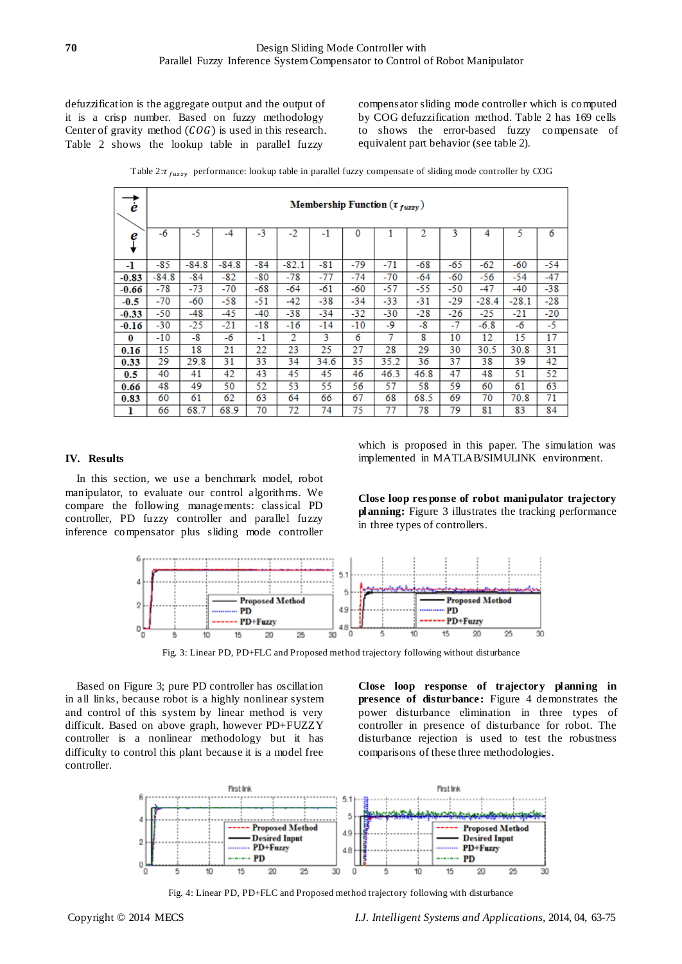defuzzification is the aggregate output and the output of it is a crisp number. Based on fuzzy methodology Center of gravity method  $(COG)$  is used in this research. Table 2 shows the lookup table in parallel fuzzy

compensator sliding mode controller which is computed by COG defuzzification method. Table 2 has 169 cells to shows the error-based fuzzy compensate of equivalent part behavior (see table 2).

Table 2: $\tau_{\text{fuzzy}}$  performance: lookup table in parallel fuzzy compensate of sliding mode controller by COG

| è       | Membership Function ( $\tau_{fuzzy}$ ) |         |         |       |         |       |          |       |       |       |         |         |       |
|---------|----------------------------------------|---------|---------|-------|---------|-------|----------|-------|-------|-------|---------|---------|-------|
| e       | -6                                     | -5      | -4      | -3    | -2      | $-1$  | $\Omega$ |       | 2     | 3     | 4       | 5       | 6     |
| -1      | -85                                    | $-84.8$ | $-84.8$ | $-84$ | $-82.1$ | $-81$ | -79      | $-71$ | $-68$ | $-65$ | $-62$   | $-60$   | -54   |
| $-0.83$ | $-84.8$                                | $-84$   | -82     | $-80$ | $-78$   | -77   | -74      | $-70$ | $-64$ | $-60$ | -56     | $-54$   | $-47$ |
| $-0.66$ | $-78$                                  | $-73$   | $-70$   | $-68$ | $-64$   | $-61$ | $-60$    | -57   | -55   | -50   | $-47$   | $-40$   | $-38$ |
| $-0.5$  | -70                                    | $-60$   | -58     | $-51$ | $-42$   | $-38$ | $-34$    | $-33$ | $-31$ | $-29$ | $-28.4$ | $-28.1$ | $-28$ |
| $-0.33$ | $-50$                                  | $-48$   | -45     | $-40$ | $-38$   | $-34$ | $-32$    | $-30$ | $-28$ | $-26$ | $-25$   | $-21$   | $-20$ |
| $-0.16$ | $-30$                                  | -25     | -21     | $-18$ | $-16$   | $-14$ | $-10$    | -9    | -8    | -7    | $-6.8$  | -6      | -5    |
| 0       | $-10$                                  | -8      | -6      | -1    | 2       | 3     | 6        | 7     | 8     | 10    | 12      | 15      | 17    |
| 0.16    | 15                                     | 18      | 21      | 22    | 23      | 25    | 27       | 28    | 29    | 30    | 30.5    | 30.8    | 31    |
| 0.33    | 29                                     | 29.8    | 31      | 33    | 34      | 34.6  | 35       | 35.2  | 36    | 37    | 38      | 39      | 42    |
| 0.5     | 40                                     | 41      | 42      | 43    | 45      | 45    | 46       | 46.3  | 46.8  | 47    | 48      | 51      | 52    |
| 0.66    | 48                                     | 49      | 50      | 52    | 53      | 55    | 56       | 57    | 58    | 59    | 60      | 61      | 63    |
| 0.83    | 60                                     | 61      | 62      | 63    | 64      | 66    | 67       | 68    | 68.5  | 69    | 70      | 70.8    | 71    |
| ı       | 66                                     | 68.7    | 68.9    | 70    | 72      | 74    | 75       | 77    | 78    | 79    | 81      | 83      | 84    |

## **IV. Results**

In this section, we use a benchmark model, robot manipulator, to evaluate our control algorithms. We compare the following managements: classical PD controller, PD fuzzy controller and parallel fuzzy inference compensator plus sliding mode controller which is proposed in this paper. The simulation was implemented in MATLAB/SIMULINK environment.

**Close loop res ponse of robot manipulator trajectory planning:** Figure 3 illustrates the tracking performance in three types of controllers.



Fig. 3: Linear PD, PD+FLC and Proposed method trajectory following without disturbance

Based on Figure 3; pure PD controller has oscillation in all links, because robot is a highly nonlinear system and control of this system by linear method is very difficult. Based on above graph, however PD+FUZZY controller is a nonlinear methodology but it has difficulty to control this plant because it is a model free controller.

**Close loop response of trajectory planning in presence of disturbance:** Figure 4 demonstrates the power disturbance elimination in three types of controller in presence of disturbance for robot. The disturbance rejection is used to test the robustness comparisons of these three methodologies.



Fig. 4: Linear PD, PD+FLC and Proposed method trajectory following with disturbance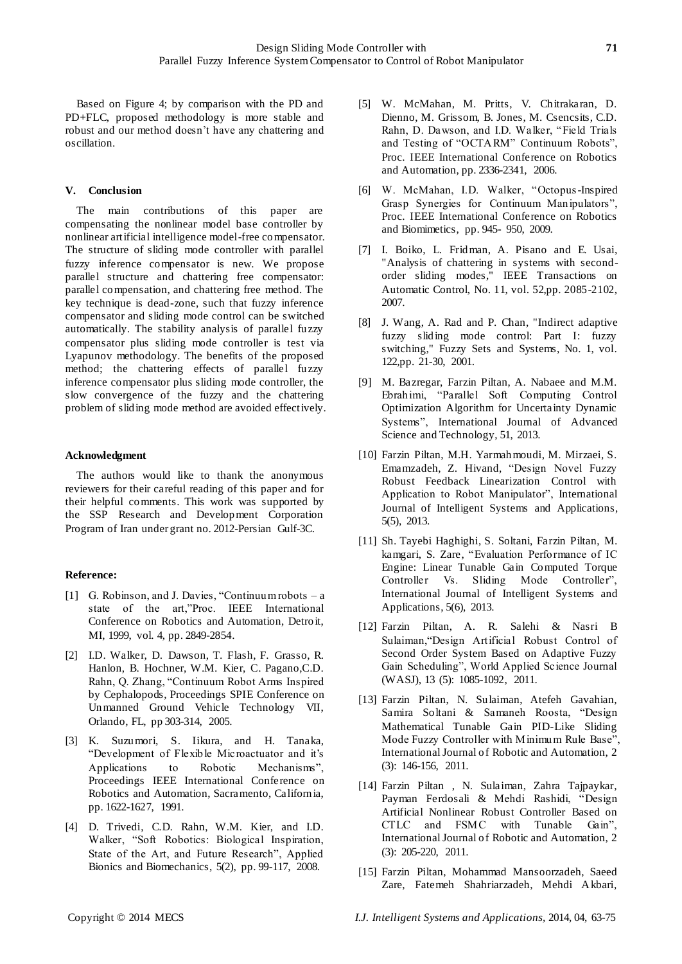Based on Figure 4; by comparison with the PD and PD+FLC, proposed methodology is more stable and robust and our method doesn't have any chattering and oscillation.

## **V. Conclusion**

The main contributions of this paper are compensating the nonlinear model base controller by nonlinear artificial intelligence model-free compensator. The structure of sliding mode controller with parallel fuzzy inference compensator is new. We propose parallel structure and chattering free compensator: parallel compensation, and chattering free method. The key technique is dead-zone, such that fuzzy inference compensator and sliding mode control can be switched automatically. The stability analysis of parallel fuzzy compensator plus sliding mode controller is test via Lyapunov methodology. The benefits of the proposed method; the chattering effects of parallel fuzzy inference compensator plus sliding mode controller, the slow convergence of the fuzzy and the chattering problem of sliding mode method are avoided effectively.

#### **Acknowledgment**

The authors would like to thank the anonymous reviewers for their careful reading of this paper and for their helpful comments. This work was supported by the SSP Research and Development Corporation Program of Iran under grant no. 2012-Persian Gulf-3C.

## **Reference:**

- [1] G. Robinson, and J. Davies, "Continuum robots a state of the art,"Proc. IEEE International Conference on Robotics and Automation, Detroit, MI, 1999, vol. 4, pp. 2849-2854.
- [2] I.D. Walker, D. Dawson, T. Flash, F. Grasso, R. Hanlon, B. Hochner, W.M. Kier, C. Pagano,C.D. Rahn, Q. Zhang, "Continuum Robot Arms Inspired by Cephalopods, Proceedings SPIE Conference on Unmanned Ground Vehicle Technology VII, Orlando, FL, pp 303-314, 2005.
- [3] K. Suzumori, S. Iikura, and H. Tanaka, ―Development of Flexible Microactuator and it's Applications to Robotic Mechanisms", Proceedings IEEE International Conference on Robotics and Automation, Sacramento, California, pp. 1622-1627, 1991.
- [4] D. Trivedi, C.D. Rahn, W.M. Kier, and I.D. Walker, "Soft Robotics: Biological Inspiration, State of the Art, and Future Research", Applied Bionics and Biomechanics, 5(2), pp. 99-117, 2008.
- [5] W. McMahan, M. Pritts, V. Chitrakaran, D. Dienno, M. Grissom, B. Jones, M. Csencsits, C.D. Rahn, D. Dawson, and I.D. Walker, "Field Trials and Testing of "OCTARM" Continuum Robots", Proc. IEEE International Conference on Robotics and Automation, pp. 2336-2341, 2006.
- [6] W. McMahan, I.D. Walker, "Octopus-Inspired Grasp Synergies for Continuum Manipulators", Proc. IEEE International Conference on Robotics and Biomimetics, pp. 945- 950, 2009.
- [7] I. Boiko, L. Fridman, A. Pisano and E. Usai, "Analysis of chattering in systems with secondorder sliding modes," IEEE Transactions on Automatic Control, No. 11, vol. 52,pp. 2085-2102, 2007.
- [8] J. Wang, A. Rad and P. Chan, "Indirect adaptive fuzzy sliding mode control: Part I: fuzzy switching," Fuzzy Sets and Systems, No. 1, vol. 122,pp. 21-30, 2001.
- [9] M. Bazregar, Farzin Piltan, A. Nabaee and M.M. Ebrahimi, "Parallel Soft Computing Control Optimization Algorithm for Uncertainty Dynamic Systems", International Journal of Advanced Science and Technology, 51, 2013.
- [10] Farzin Piltan, M.H. Yarmahmoudi, M. Mirzaei, S. Emamzadeh, Z. Hivand, "Design Novel Fuzzy Robust Feedback Linearization Control with Application to Robot Manipulator", International Journal of Intelligent Systems and Applications, 5(5), 2013.
- [11] Sh. Tayebi Haghighi, S. Soltani, Farzin Piltan, M. kamgari, S. Zare, "Evaluation Performance of IC Engine: Linear Tunable Gain Computed Torque Controller Vs. Sliding Mode Controller", International Journal of Intelligent Systems and Applications, 5(6), 2013.
- [12] Farzin Piltan, A. R. Salehi & Nasri B Sulaiman, "Design Artificial Robust Control of Second Order System Based on Adaptive Fuzzy Gain Scheduling", World Applied Science Journal (WASJ), 13 (5): 1085-1092, 2011.
- [13] Farzin Piltan, N. Sulaiman, Atefeh Gavahian, Samira Soltani & Samaneh Roosta, "Design Mathematical Tunable Gain PID-Like Sliding Mode Fuzzy Controller with Minimum Rule Base", International Journal of Robotic and Automation, 2 (3): 146-156, 2011.
- [14] Farzin Piltan , N. Sulaiman, Zahra Tajpaykar, Payman Ferdosali & Mehdi Rashidi, "Design Artificial Nonlinear Robust Controller Based on CTLC and FSMC with Tunable Gain". International Journal of Robotic and Automation, 2 (3): 205-220, 2011.
- [15] Farzin Piltan, Mohammad Mansoorzadeh, Saeed Zare, Fatemeh Shahriarzadeh, Mehdi Akbari,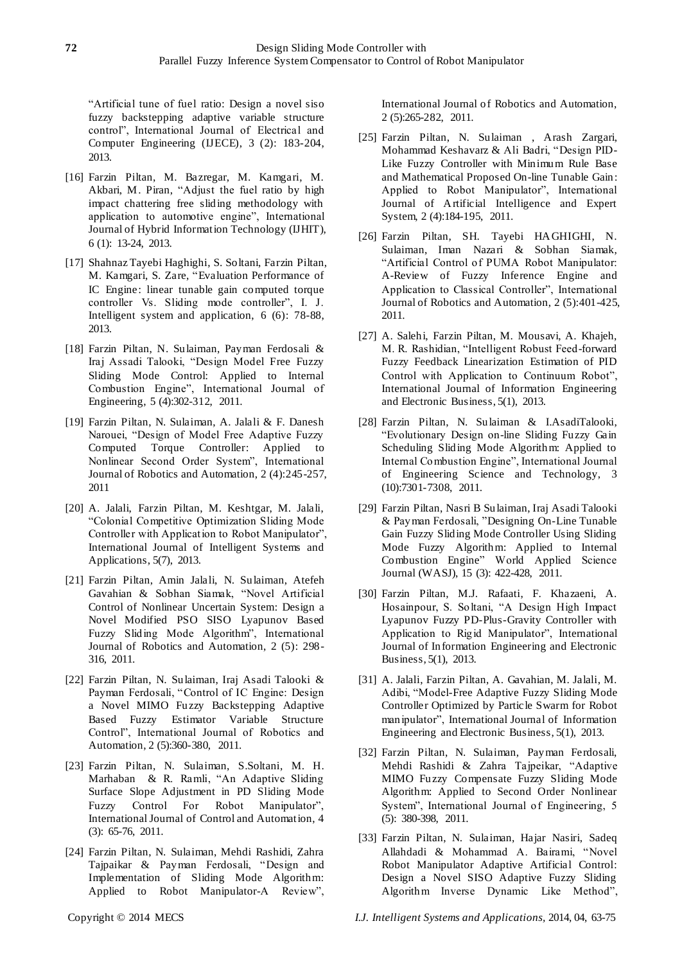―Artificial tune of fuel ratio: Design a novel siso fuzzy backstepping adaptive variable structure control", International Journal of Electrical and Computer Engineering (IJECE), 3 (2): 183-204, 2013.

- [16] Farzin Piltan, M. Bazregar, M. Kamgari, M. Akbari, M. Piran, "Adjust the fuel ratio by high impact chattering free sliding methodology with application to automotive engine", International Journal of Hybrid Information Technology (IJHIT), 6 (1): 13-24, 2013.
- [17] Shahnaz Tayebi Haghighi, S. Soltani, Farzin Piltan, M. Kamgari, S. Zare, "Evaluation Performance of IC Engine: linear tunable gain computed torque controller Vs. Sliding mode controller", I. J. Intelligent system and application, 6 (6): 78-88, 2013.
- [18] Farzin Piltan, N. Sulaiman, Payman Ferdosali & Iraj Assadi Talooki, "Design Model Free Fuzzy Sliding Mode Control: Applied to Internal Combustion Engine", International Journal of Engineering, 5 (4):302-312, 2011.
- [19] Farzin Piltan, N. Sulaiman, A. Jalali & F. Danesh Narouei, "Design of Model Free Adaptive Fuzzy Computed Torque Controller: Applied to Nonlinear Second Order System", International Journal of Robotics and Automation, 2 (4):245-257, 2011
- [20] A. Jalali, Farzin Piltan, M. Keshtgar, M. Jalali, ―Colonial Competitive Optimization Sliding Mode Controller with Application to Robot Manipulator", International Journal of Intelligent Systems and Applications, 5(7), 2013.
- [21] Farzin Piltan, Amin Jalali, N. Sulaiman, Atefeh Gavahian & Sobhan Siamak, "Novel Artificial Control of Nonlinear Uncertain System: Design a Novel Modified PSO SISO Lyapunov Based Fuzzy Sliding Mode Algorithm", International Journal of Robotics and Automation, 2 (5): 298- 316, 2011.
- [22] Farzin Piltan, N. Sulaiman, Iraj Asadi Talooki & Payman Ferdosali, "Control of IC Engine: Design a Novel MIMO Fuzzy Backstepping Adaptive Based Fuzzy Estimator Variable Structure Control", International Journal of Robotics and Automation, 2 (5):360-380, 2011.
- [23] Farzin Piltan, N. Sulaiman, S.Soltani, M. H. Marhaban & R. Ramli, "An Adaptive Sliding Surface Slope Adjustment in PD Sliding Mode Fuzzy Control For Robot Manipulator", International Journal of Control and Automation, 4 (3): 65-76, 2011.
- [24] Farzin Piltan, N. Sulaiman, Mehdi Rashidi, Zahra Tajpaikar & Payman Ferdosali, "Design and Implementation of Sliding Mode Algorithm: Applied to Robot Manipulator-A Review",

International Journal of Robotics and Automation, 2 (5):265-282, 2011.

- [25] Farzin Piltan, N. Sulaiman , Arash Zargari, Mohammad Keshavarz & Ali Badri, "Design PID-Like Fuzzy Controller with Minimum Rule Base and Mathematical Proposed On-line Tunable Gain: Applied to Robot Manipulator", International Journal of Artificial Intelligence and Expert System, 2 (4):184-195, 2011.
- [26] Farzin Piltan, SH. Tayebi HAGHIGHI, N. Sulaiman, Iman Nazari & Sobhan Siamak, ―Artificial Control of PUMA Robot Manipulator: A-Review of Fuzzy Inference Engine and Application to Classical Controller", International Journal of Robotics and Automation, 2 (5):401-425, 2011.
- [27] A. Salehi, Farzin Piltan, M. Mousavi, A. Khajeh, M. R. Rashidian, "Intelligent Robust Feed-forward Fuzzy Feedback Linearization Estimation of PID Control with Application to Continuum Robot", International Journal of Information Engineering and Electronic Business, 5(1), 2013.
- [28] Farzin Piltan, N. Sulaiman & I.AsadiTalooki, ―Evolutionary Design on-line Sliding Fuzzy Gain Scheduling Sliding Mode Algorithm: Applied to Internal Combustion Engine", International Journal of Engineering Science and Technology, 3 (10):7301-7308, 2011.
- [29] Farzin Piltan, Nasri B Sulaiman, Iraj Asadi Talooki & Payman Ferdosali, "Designing On-Line Tunable Gain Fuzzy Sliding Mode Controller Using Sliding Mode Fuzzy Algorithm: Applied to Internal Combustion Engine" World Applied Science Journal (WASJ), 15 (3): 422-428, 2011.
- [30] Farzin Piltan, M.J. Rafaati, F. Khazaeni, A. Hosainpour, S. Soltani, "A Design High Impact Lyapunov Fuzzy PD-Plus-Gravity Controller with Application to Rigid Manipulator", International Journal of Information Engineering and Electronic Business, 5(1), 2013.
- [31] A. Jalali, Farzin Piltan, A. Gavahian, M. Jalali, M. Adibi, "Model-Free Adaptive Fuzzy Sliding Mode Controller Optimized by Particle Swarm for Robot manipulator", International Journal of Information Engineering and Electronic Business, 5(1), 2013.
- [32] Farzin Piltan, N. Sulaiman, Payman Ferdosali, Mehdi Rashidi & Zahra Tajpeikar, "Adaptive MIMO Fuzzy Compensate Fuzzy Sliding Mode Algorithm: Applied to Second Order Nonlinear System", International Journal of Engineering, 5 (5): 380-398, 2011.
- [33] Farzin Piltan, N. Sulaiman, Hajar Nasiri, Sadeq Allahdadi & Mohammad A. Bairami, "Novel Robot Manipulator Adaptive Artificial Control: Design a Novel SISO Adaptive Fuzzy Sliding Algorithm Inverse Dynamic Like Method",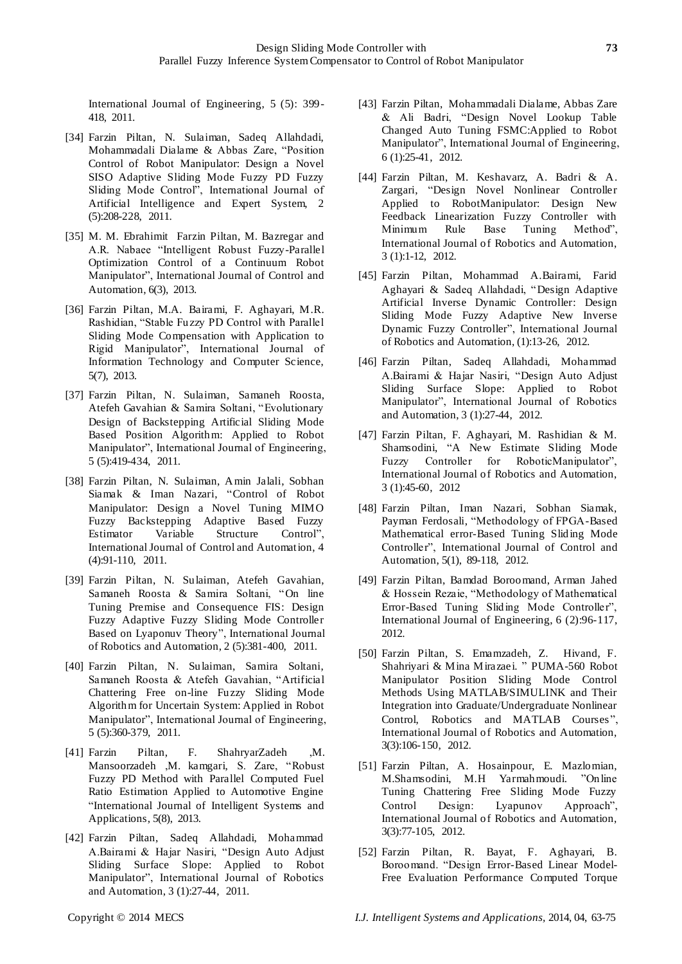International Journal of Engineering, 5 (5): 399- 418, 2011.

- [34] Farzin Piltan, N. Sulaiman, Sadeq Allahdadi, Mohammadali Dialame & Abbas Zare, "Position Control of Robot Manipulator: Design a Novel SISO Adaptive Sliding Mode Fuzzy PD Fuzzy Sliding Mode Control", International Journal of Artificial Intelligence and Expert System, 2 (5):208-228, 2011.
- [35] M. M. Ebrahimit Farzin Piltan, M. Bazregar and A.R. Nabaee "Intelligent Robust Fuzzy-Parallel Optimization Control of a Continuum Robot Manipulator", International Journal of Control and Automation, 6(3), 2013.
- [36] Farzin Piltan, M.A. Bairami, F. Aghayari, M.R. Rashidian, "Stable Fuzzy PD Control with Parallel Sliding Mode Compensation with Application to Rigid Manipulator", International Journal of Information Technology and Computer Science, 5(7), 2013.
- [37] Farzin Piltan, N. Sulaiman, Samaneh Roosta, Atefeh Gavahian & Samira Soltani, "Evolutionary Design of Backstepping Artificial Sliding Mode Based Position Algorithm: Applied to Robot Manipulator", International Journal of Engineering, 5 (5):419-434, 2011.
- [38] Farzin Piltan, N. Sulaiman, Amin Jalali, Sobhan Siamak & Iman Nazari, "Control of Robot Manipulator: Design a Novel Tuning MIMO Fuzzy Backstepping Adaptive Based Fuzzy Estimator Variable Structure Control", International Journal of Control and Automation, 4 (4):91-110, 2011.
- [39] Farzin Piltan, N. Sulaiman, Atefeh Gavahian, Samaneh Roosta & Samira Soltani, "On line [Tuning Premise and Consequence FIS: Design](http://www.cscjournals.org/csc/manuscriptinfo.php?ManuscriptCode=67.68.76.59.39.47.49.104&JCode=IJRA&EJCode=66.67.75.58.105&Volume=2&Issue=5)  Fuzzy [Adaptive Fuzzy Sliding Mode Controller](http://www.cscjournals.org/csc/manuscriptinfo.php?ManuscriptCode=67.68.76.59.39.47.49.104&JCode=IJRA&EJCode=66.67.75.58.105&Volume=2&Issue=5)  Based on Lyaponuv Theory", International Journal of Robotics and Automation, 2 (5):381-400, 2011.
- [40] Farzin Piltan, N. Sulaiman, Samira Soltani, Samaneh Roosta & Atefeh Gavahian, "Artificial [Chattering Free on-line Fuzzy Sliding Mode](http://www.cscjournals.org/csc/manuscriptinfo.php?ManuscriptCode=68.69.64.40.46.44.44.103&JCode=IJE&EJCode=70.71.66.101&Volume=5&Issue=5)  [Algorithm for Uncertain System: Applied in Robot](http://www.cscjournals.org/csc/manuscriptinfo.php?ManuscriptCode=68.69.64.40.46.44.44.103&JCode=IJE&EJCode=70.71.66.101&Volume=5&Issue=5)  Manipulator", International Journal of Engineering, 5 (5):360-379, 2011.
- [41] Farzin Piltan, F. ShahryarZadeh ,M. Mansoorzadeh , M. kamgari, S. Zare, "Robust Fuzzy PD Method with Parallel Computed Fuel Ratio Estimation Applied to Automotive Engine "International Journal of Intelligent Systems and Applications, 5(8), 2013.
- [42] Farzin Piltan, Sadeq Allahdadi, Mohammad A.Bairami & Hajar Nasiri, "Design Auto Adjust Sliding Surface Slope: Applied to Robot Manipulator", International Journal of Robotics and Automation, 3 (1):27-44, 2011.
- [43] Farzin Piltan, Mohammadali Dialame, Abbas Zare & Ali Badri, "Design Novel Lookup Table Changed Auto Tuning FSMC:Applied to Robot Manipulator", International Journal of Engineering, 6 (1):25-41, 2012.
- [44] Farzin Piltan, M. Keshavarz, A. Badri & A. Zargari, "Design Novel Nonlinear Controller Applied to RobotManipulator: Design New Feedback Linearization Fuzzy Controller with Minimum Rule Base Tuning Method", International Journal of Robotics and Automation, 3 (1):1-12, 2012.
- [45] Farzin Piltan, Mohammad A.Bairami, Farid Aghayari & Sadeq Allahdadi, "Design Adaptive Artificial Inverse Dynamic Controller: Design Sliding Mode Fuzzy Adaptive New Inverse Dynamic Fuzzy Controller", International Journal of Robotics and Automation, (1):13-26, 2012.
- [46] Farzin Piltan, Sadeq Allahdadi, Mohammad A.Bairami & Hajar Nasiri, "Design Auto Adjust Sliding Surface Slope: Applied to Robot Manipulator", International Journal of Robotics and Automation, 3 (1):27-44, 2012.
- [47] Farzin Piltan, F. Aghayari, M. Rashidian & M. Shamsodini, "A New Estimate Sliding Mode Fuzzy Controller for RoboticManipulator", International Journal of Robotics and Automation, 3 (1):45-60, 2012
- [48] Farzin Piltan, Iman Nazari, Sobhan Siamak, Payman Ferdosali, "Methodology of FPGA-Based Mathematical error-Based Tuning Sliding Mode Controller", International Journal of Control and Automation, 5(1), 89-118, 2012.
- [49] Farzin Piltan, Bamdad Boroomand, Arman Jahed & Hossein Rezaie, "Methodology of Mathematical Error-Based Tuning Sliding Mode Controller", International Journal of Engineering, 6 (2):96-117, 2012.
- [50] Farzin Piltan, S. Emamzadeh, Z. Hivand, F. Shahriyari & Mina Mirazaei. " PUMA-560 Robot Manipulator Position Sliding Mode Control Methods Using MATLAB/SIMULINK and Their Integration into Graduate/Undergraduate Nonlinear Control, Robotics and MATLAB Courses", International Journal of Robotics and Automation, 3(3):106-150, 2012.
- [51] Farzin Piltan, A. Hosainpour, E. Mazlomian, M.Shamsodini, M.H Yarmahmoudi. "Online Tuning Chattering Free Sliding Mode Fuzzy Control Design: Lyapunov Approach", International Journal of Robotics and Automation, 3(3):77-105, 2012.
- [52] Farzin Piltan, R. Bayat, F. Aghayari, B. Boroomand. "Design Error-Based Linear Model-Free Evaluation Performance Computed Torque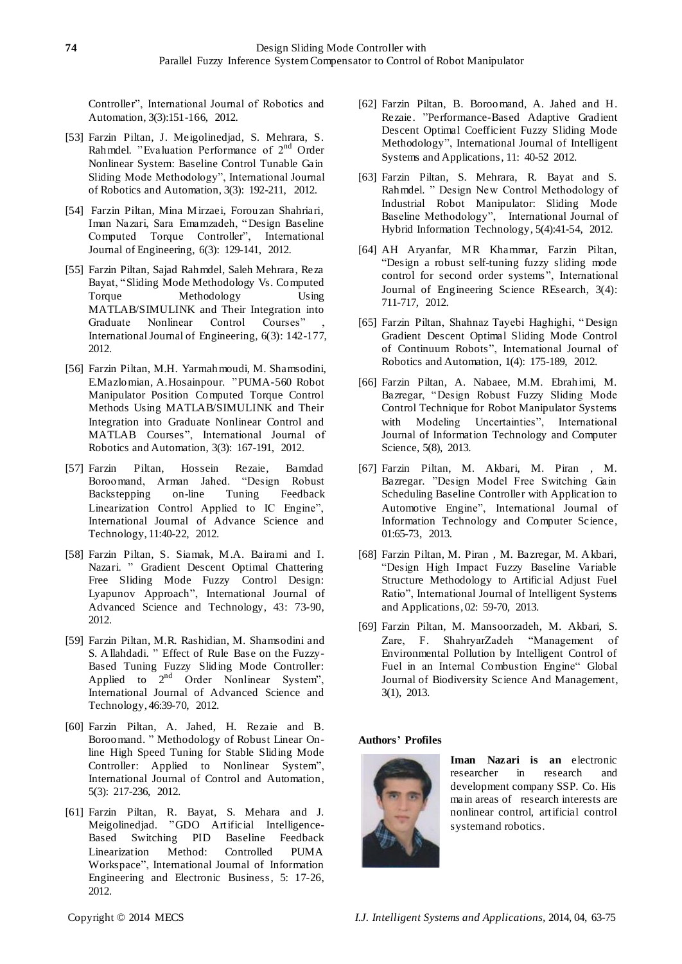Controller", International Journal of Robotics and Automation, 3(3):151-166, 2012.

- [53] Farzin Piltan, J. Meigolinedjad, S. Mehrara, S. Rahmdel. "Evaluation Performance of 2<sup>nd</sup> Order Nonlinear System: Baseline Control Tunable Gain Sliding Mode Methodology", International Journal of Robotics and Automation, 3(3): 192-211, 2012.
- [54] Farzin Piltan, Mina Mirzaei, Forouzan Shahriari, Iman Nazari, Sara Emamzadeh, "Design Baseline Computed Torque Controller", International Journal of Engineering, 6(3): 129-141, 2012.
- [55] Farzin Piltan, Sajad Rahmdel, Saleh Mehrara, Reza Bayat, "Sliding Mode Methodology Vs. Computed Torque Methodology Using MATLAB/SIMULINK and Their Integration into Graduate Nonlinear Control Courses" International Journal of Engineering, 6(3): 142-177, 2012.
- [56] Farzin Piltan, M.H. Yarmahmoudi, M. Shamsodini, E.Mazlomian, A.Hosainpour. "PUMA-560 Robot Manipulator Position Computed Torque Control Methods Using MATLAB/SIMULINK and Their Integration into Graduate Nonlinear Control and MATLAB Courses", International Journal of Robotics and Automation, 3(3): 167-191, 2012.
- [57] Farzin Piltan, Hossein Rezaie, Bamdad Boroomand, Arman Jahed. "Design Robust Backstepping on-line Tuning Feedback Linearization Control Applied to IC Engine", International Journal of Advance Science and Technology, 11:40-22, 2012.
- [58] Farzin Piltan, S. Siamak, M.A. Bairami and I. Nazari. " Gradient Descent Optimal Chattering Free Sliding Mode Fuzzy Control Design: Lyapunov Approach", International Journal of Advanced Science and Technology, 43: 73-90, 2012.
- [59] Farzin Piltan, M.R. Rashidian, M. Shamsodini and S. Allahdadi. " Effect of Rule Base on the Fuzzy-Based Tuning Fuzzy Sliding Mode Controller: Applied to  $2^{nd}$  Order Nonlinear System", International Journal of Advanced Science and Technology, 46:39-70, 2012.
- [60] Farzin Piltan, A. Jahed, H. Rezaie and B. Boroomand." Methodology of Robust Linear Online High Speed Tuning for Stable Sliding Mode Controller: Applied to Nonlinear System", International Journal of Control and Automation, 5(3): 217-236, 2012.
- [61] Farzin Piltan, R. Bayat, S. Mehara and J. Meigolinedjad. "GDO Artificial Intelligence-Based Switching PID Baseline Feedback Linearization Method: Controlled PUMA Workspace‖, International Journal of Information Engineering and Electronic Business, 5: 17-26, 2012.
- [62] Farzin Piltan, B. Boroomand, A. Jahed and H. Rezaie. "Performance-Based Adaptive Gradient Descent Optimal Coefficient Fuzzy Sliding Mode Methodology", International Journal of Intelligent Systems and Applications, 11: 40-52 2012.
- [63] Farzin Piltan, S. Mehrara, R. Bayat and S. Rahmdel. " Design New Control Methodology of Industrial Robot Manipulator: Sliding Mode Baseline Methodology", International Journal of Hybrid Information Technology, 5(4):41-54, 2012.
- [64] AH Aryanfar, MR Khammar, Farzin Piltan, [―Design a robust self-tuning fuzzy sliding mode](http://ijesr.in/wp-content/uploads/2012/07/IJESR-Y12-TJ-H140-Design-a-robust-self-tuning-fuzzy-sliding-mode-control-for-second-order-systems.pdf)  [control for second order systems](http://ijesr.in/wp-content/uploads/2012/07/IJESR-Y12-TJ-H140-Design-a-robust-self-tuning-fuzzy-sliding-mode-control-for-second-order-systems.pdf)", International Journal of Engineering Science REsearch, 3(4): 711-717, 2012.
- [65] Farzin Piltan, Shahnaz Tayebi Haghighi, "Design [Gradient Descent Optimal](http://scholar.google.com/citations?view_op=view_citation&hl=en&user=qFs3XJoAAAAJ&sortby=pubdate&citation_for_view=qFs3XJoAAAAJ:HDshCWvjkbEC) Sliding Mode Control of Continuum Robots", International Journal of Robotics and Automation, 1(4): 175-189, 2012.
- [66] Farzin Piltan, A. Nabaee, M.M. Ebrahimi, M. Bazregar, "Design Robust Fuzzy Sliding Mode Control Technique for Robot Manipulator Systems with Modeling Uncertainties", International Journal of Information Technology and Computer Science, 5(8), 2013.
- [67] Farzin Piltan, M. Akbari, M. Piran , M. Bazregar. "Design Model Free Switching Gain Scheduling Baseline Controller with Application to Automotive Engine", International Journal of Information Technology and Computer Science, 01:65-73, 2013.
- [68] Farzin Piltan, M. Piran , M. Bazregar, M. Akbari, ―Design High Impact Fuzzy Baseline Variable Structure Methodology to Artificial Adjust Fuel Ratio", International Journal of Intelligent Systems and Applications, 02: 59-70, 2013.
- [69] Farzin Piltan, M. Mansoorzadeh, M. Akbari, S. Zare, F. ShahryarZadeh "Management of Environmental Pollution by Intelligent Control of Fuel in an Internal Combustion Engine" Global Journal of Biodiversity Science And Management, 3(1), 2013.

## **Authors' Profiles**



**Iman Nazari is an** electronic researcher in research and development company SSP. Co. His main areas of research interests are nonlinear control, artificial control system and robotics.